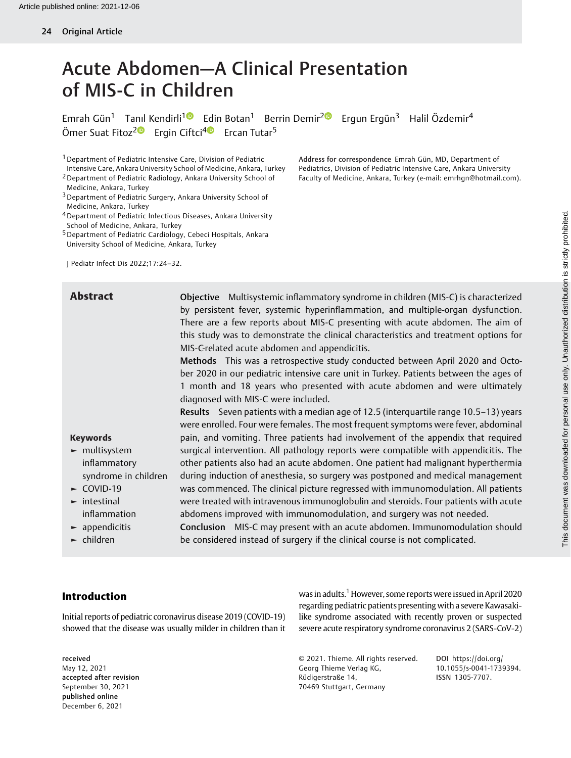# Acute Abdomen—A Clinical Presentation of MIS-C in Children

Emrah Gün<sup>1</sup> Tanıl Kendirli<sup>10</sup> Edin Botan<sup>1</sup> Berrin Demir<sup>20</sup> Ergun Ergün<sup>3</sup> Halil Özdemir<sup>4</sup> Ömer Suat Fitoz<sup>2</sup><sup>®</sup> Ergin Ciftci<sup>[4](https://orcid.org/0000-0002-4955-160X)</sub><sup>®</sup> Ercan Tutar<sup>5</sup></sup>

1Department of Pediatric Intensive Care, Division of Pediatric Intensive Care, Ankara University School of Medicine, Ankara, Turkey

2Department of Pediatric Radiology, Ankara University School of Medicine, Ankara, Turkey

4Department of Pediatric Infectious Diseases, Ankara University School of Medicine, Ankara, Turkey

5Department of Pediatric Cardiology, Cebeci Hospitals, Ankara University School of Medicine, Ankara, Turkey

J Pediatr Infect Dis 2022;17:24–32.

Keywords ► multisystem inflammatory

► COVID-19 ► intestinal inflammation  $\blacktriangleright$  appendicitis ► children

Abstract **Objective** Multisystemic inflammatory syndrome in children (MIS-C) is characterized by persistent fever, systemic hyperinflammation, and multiple-organ dysfunction. There are a few reports about MIS-C presenting with acute abdomen. The aim of this study was to demonstrate the clinical characteristics and treatment options for MIS-C-related acute abdomen and appendicitis.

> Methods This was a retrospective study conducted between April 2020 and October 2020 in our pediatric intensive care unit in Turkey. Patients between the ages of 1 month and 18 years who presented with acute abdomen and were ultimately diagnosed with MIS-C were included.

syndrome in children Results Seven patients with a median age of 12.5 (interquartile range 10.5–13) years were enrolled. Four were females. The most frequent symptoms were fever, abdominal pain, and vomiting. Three patients had involvement of the appendix that required surgical intervention. All pathology reports were compatible with appendicitis. The other patients also had an acute abdomen. One patient had malignant hyperthermia during induction of anesthesia, so surgery was postponed and medical management was commenced. The clinical picture regressed with immunomodulation. All patients were treated with intravenous immunoglobulin and steroids. Four patients with acute abdomens improved with immunomodulation, and surgery was not needed.

> Conclusion MIS-C may present with an acute abdomen. Immunomodulation should be considered instead of surgery if the clinical course is not complicated.

## Introduction

Initial reports of pediatric coronavirus disease 2019 (COVID-19) showed that the disease was usually milder in children than it

#### received May 12, 2021 accepted after revision September 30, 2021 published online December 6, 2021

was in adults.<sup>1</sup> However, some reports were issued in April 2020 regarding pediatric patients presenting with a severe Kawasakilike syndrome associated with recently proven or suspected severe acute respiratory syndrome coronavirus 2 (SARS-CoV-2)

© 2021. Thieme. All rights reserved. Georg Thieme Verlag KG, Rüdigerstraße 14, 70469 Stuttgart, Germany

DOI [https://doi.org/](https://doi.org/10.1055/s-0041-1739394) [10.1055/s-0041-1739394](https://doi.org/10.1055/s-0041-1739394). ISSN 1305-7707.

Address for correspondence Emrah Gün, MD, Department of Pediatrics, Division of Pediatric Intensive Care, Ankara University Faculty of Medicine, Ankara, Turkey (e-mail: [emrhgn@hotmail.com\)](mailto:emrhgn@hotmail.com).

<sup>&</sup>lt;sup>3</sup> Department of Pediatric Surgery, Ankara University School of Medicine, Ankara, Turkey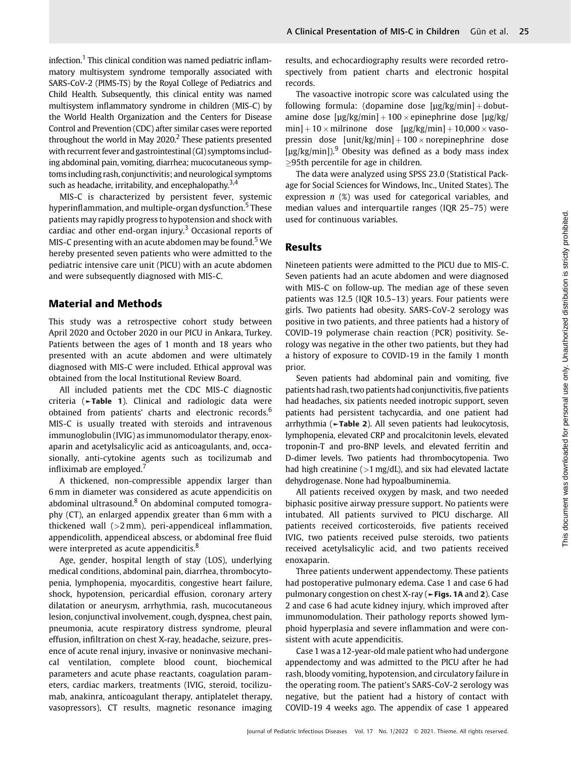infection.<sup>1</sup> This clinical condition was named pediatric inflammatory multisystem syndrome temporally associated with SARS-CoV-2 (PIMS-TS) by the Royal College of Pediatrics and Child Health. Subsequently, this clinical entity was named multisystem inflammatory syndrome in children (MIS-C) by the World Health Organization and the Centers for Disease Control and Prevention (CDC) after similar cases were reported throughout the world in May  $2020$ <sup>2</sup> These patients presented with recurrent fever and gastrointestinal (GI) symptoms including abdominal pain, vomiting, diarrhea; mucocutaneous symptoms including rash, conjunctivitis; and neurological symptoms such as headache, irritability, and encephalopathy. $3,4$ 

MIS-C is characterized by persistent fever, systemic hyperinflammation, and multiple-organ dysfunction.<sup>5</sup> These patients may rapidly progress to hypotension and shock with cardiac and other end-organ injury.<sup>3</sup> Occasional reports of MIS-C presenting with an acute abdomen may be found.<sup>5</sup> We hereby presented seven patients who were admitted to the pediatric intensive care unit (PICU) with an acute abdomen and were subsequently diagnosed with MIS-C.

#### Material and Methods

This study was a retrospective cohort study between April 2020 and October 2020 in our PICU in Ankara, Turkey. Patients between the ages of 1 month and 18 years who presented with an acute abdomen and were ultimately diagnosed with MIS-C were included. Ethical approval was obtained from the local Institutional Review Board.

All included patients met the CDC MIS-C diagnostic criteria (►Table 1). Clinical and radiologic data were obtained from patients' charts and electronic records.<sup>6</sup> MIS-C is usually treated with steroids and intravenous immunoglobulin (IVIG) as immunomodulator therapy, enoxaparin and acetylsalicylic acid as anticoagulants, and, occasionally, anti-cytokine agents such as tocilizumab and infliximab are employed.<sup>7</sup>

A thickened, non-compressible appendix larger than 6 mm in diameter was considered as acute appendicitis on abdominal ultrasound. $8$  On abdominal computed tomography (CT), an enlarged appendix greater than 6 mm with a thickened wall (>2 mm), peri-appendiceal inflammation, appendicolith, appendiceal abscess, or abdominal free fluid were interpreted as acute appendicitis.<sup>8</sup>

Age, gender, hospital length of stay (LOS), underlying medical conditions, abdominal pain, diarrhea, thrombocytopenia, lymphopenia, myocarditis, congestive heart failure, shock, hypotension, pericardial effusion, coronary artery dilatation or aneurysm, arrhythmia, rash, mucocutaneous lesion, conjunctival involvement, cough, dyspnea, chest pain, pneumonia, acute respiratory distress syndrome, pleural effusion, infiltration on chest X-ray, headache, seizure, presence of acute renal injury, invasive or noninvasive mechanical ventilation, complete blood count, biochemical parameters and acute phase reactants, coagulation parameters, cardiac markers, treatments (IVIG, steroid, tocilizumab, anakinra, anticoagulant therapy, antiplatelet therapy, vasopressors), CT results, magnetic resonance imaging results, and echocardiography results were recorded retrospectively from patient charts and electronic hospital records.

The vasoactive inotropic score was calculated using the following formula: (dopamine dose  $[µg/kg/min] + dobut$ amine dose  $[\mu$ g/kg/min] + 100 × epinephrine dose  $[\mu$ g/kg/  $min] + 10 \times min$  milrinone dose  $[µg/kg/min] + 10,000 \times v$ asopressin dose  $[unit/kg/min] + 100 \times nonepinephrine dose$  $\left[\mu$ g/kg/min]).<sup>9</sup> Obesity was defined as a body mass index 95th percentile for age in children.

The data were analyzed using SPSS 23.0 (Statistical Package for Social Sciences for Windows, Inc., United States). The expression  $n$  (%) was used for categorical variables, and median values and interquartile ranges (IQR 25–75) were used for continuous variables.

#### Results

Nineteen patients were admitted to the PICU due to MIS-C. Seven patients had an acute abdomen and were diagnosed with MIS-C on follow-up. The median age of these seven patients was 12.5 (IQR 10.5–13) years. Four patients were girls. Two patients had obesity. SARS-CoV-2 serology was positive in two patients, and three patients had a history of COVID-19 polymerase chain reaction (PCR) positivity. Serology was negative in the other two patients, but they had a history of exposure to COVID-19 in the family 1 month prior.

Seven patients had abdominal pain and vomiting, five patients had rash, two patients had conjunctivitis, five patients had headaches, six patients needed inotropic support, seven patients had persistent tachycardia, and one patient had arrhythmia (►Table 2). All seven patients had leukocytosis, lymphopenia, elevated CRP and procalcitonin levels, elevated troponin-T and pro-BNP levels, and elevated ferritin and D-dimer levels. Two patients had thrombocytopenia. Two had high creatinine  $(>1 \text{ mg/dL})$ , and six had elevated lactate dehydrogenase. None had hypoalbuminemia.

All patients received oxygen by mask, and two needed biphasic positive airway pressure support. No patients were intubated. All patients survived to PICU discharge. All patients received corticosteroids, five patients received IVIG, two patients received pulse steroids, two patients received acetylsalicylic acid, and two patients received enoxaparin.

Three patients underwent appendectomy. These patients had postoperative pulmonary edema. Case 1 and case 6 had pulmonary congestion on chest X-ray (►Figs. 1A and 2). Case 2 and case 6 had acute kidney injury, which improved after immunomodulation. Their pathology reports showed lymphoid hyperplasia and severe inflammation and were consistent with acute appendicitis.

Case 1 was a 12-year-old male patient who had undergone appendectomy and was admitted to the PICU after he had rash, bloody vomiting, hypotension, and circulatory failure in the operating room. The patient's SARS-CoV-2 serology was negative, but the patient had a history of contact with COVID-19 4 weeks ago. The appendix of case 1 appeared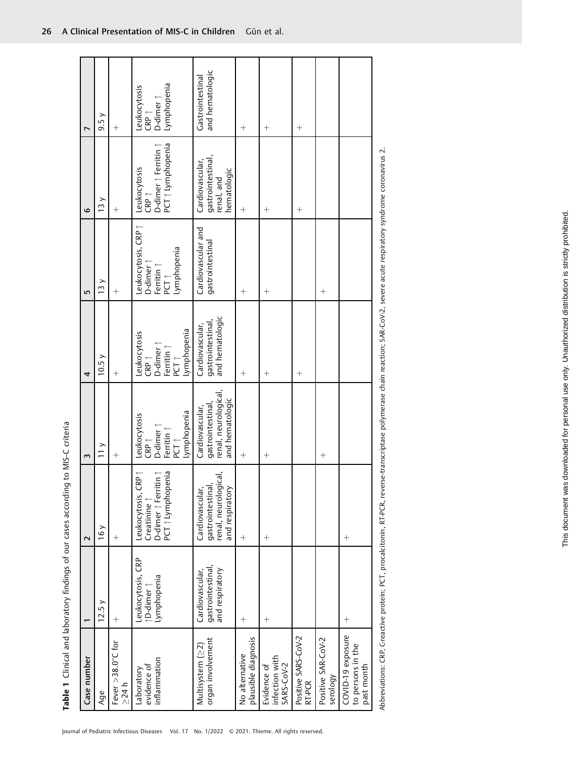| r<br>6<br>LŊ<br>4<br>Σ | 9.5y<br>13y<br>13y<br>10.5y<br>$\frac{1}{1}$ | $^{+}$<br>$^{+}$<br>$^{+}$<br>$^{+}$<br>$\hspace{0.1mm} +$ | Lymphopenia<br>Leukocytosis<br>$CRP \uparrow$<br>D-dimer $\uparrow$<br>PCT 1 Lymphopenia<br>Leukocytosis<br>CRP ↑<br>D-dimer ↑ Ferritin ↑<br>eukocytosis, CRP  <br>Lymphopenia<br>D-dimer 1<br>Ferritin 1<br>PCT 1<br>CRP ↑<br>D-dimer ↑<br>Ferritin ↑<br>PCT ↑<br>Lymphopenia<br>-eukocytosis<br>CRP ↑<br>D-dimer ↑<br>Ferritin ↑<br>PCT ↑<br>Lymphopenia<br>Leukocytosis | and hematologic<br>Gastrointestinal<br>gastrointestinal,<br>renal, and<br>Cardiovascular,<br><b>nematologic</b><br>Cardiovascular and<br>gastrointestinal<br>gastrointestinal,<br>and hematologic<br>Cardiovascular,<br>gastrointestinal,<br>renal, neurological,<br>and hematologic<br>Cardiovascular, | $^{+}$<br>$^{+}$<br>$^{+}$<br>$^{+}$<br>$^{+}$ | $^{+}$<br>$^{+}$<br>$^{+}$<br>$^{+}$<br>$^{+}$ | $^{+}$<br>$^{+}$<br>$^{+}$    | $^{+}$<br>$^{+}$               |                                                      |
|------------------------|----------------------------------------------|------------------------------------------------------------|----------------------------------------------------------------------------------------------------------------------------------------------------------------------------------------------------------------------------------------------------------------------------------------------------------------------------------------------------------------------------|---------------------------------------------------------------------------------------------------------------------------------------------------------------------------------------------------------------------------------------------------------------------------------------------------------|------------------------------------------------|------------------------------------------------|-------------------------------|--------------------------------|------------------------------------------------------|
| 2                      | 16y                                          | $^{+}$                                                     | Leukocytosis, CRP 1<br>PCT 1 Lymphopenia<br>$\begin{array}{ll} \text{Creatinine } \uparrow \\ \text{D-dimer } \uparrow \text{Ferritin } \uparrow \end{array}$                                                                                                                                                                                                              | gastrointestinal,<br>renal, neurological,<br>Cardiovascular,<br>and respiratory                                                                                                                                                                                                                         | $^{+}$                                         | $^{+}$                                         |                               |                                | $\hspace{0.1mm} +$                                   |
|                        | 12.5y                                        | $^{+}$                                                     | Leukocytosis, CRP<br>Lymphopenia<br>D-dimer                                                                                                                                                                                                                                                                                                                                | gastrointestinal,<br>and respiratory<br>Cardiovascular,                                                                                                                                                                                                                                                 | $^{+}$                                         | $^{+}$                                         |                               |                                | $^{+}$                                               |
| Case number            | Age                                          | Fever $>38.0^{\circ}$ C for<br>$\geq$ 24 h                 | inflammation<br>evidence of<br>Laboratory                                                                                                                                                                                                                                                                                                                                  | organ involvement<br>Multisystem (22)                                                                                                                                                                                                                                                                   | plausible diagnosis<br>No alternative          | infection with<br>Evidence of<br>SARS-CoV-2    | Positive SARS-CoV-2<br>RT-PCR | Positive SAR-CoV-2<br>serology | COVID-19 exposure<br>to persons in the<br>past month |

Abbreviations: CRP, Greactive protein; PCT, procalcitonin, RT-PCR, reverse-transcriptase polymerase chain reaction; SAR-CoV-2, severe acute respiratory syndrome coronavirus 2. Abbreviations: CRP, C-reactive protein; PCT, procalcitonin, RT-PCR, reverse-transcriptase polymerase chain reaction; SAR-CoV-2, severe acute respiratory syndrome coronavirus 2.

Table 1 Clinical and laboratory findings of our cases according to MIS-C criteria

Table 1 Clinical and laboratory findings of our cases according to MIS-C criteria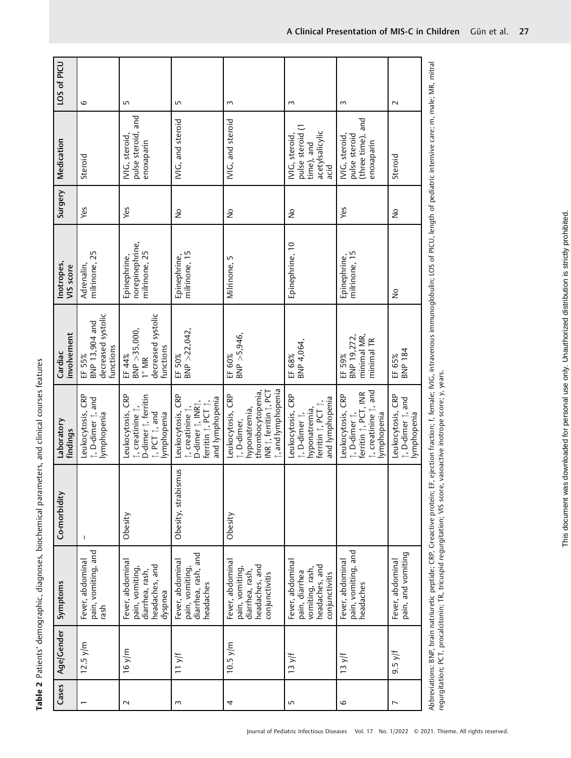| LOS of PICU             | 6                                                           | ١                                                                                          | LO                                                                                              | $\sim$                                                                                                                | $\sim$                                                                                       | $\sim$                                                                                           | $\sim$                                                |
|-------------------------|-------------------------------------------------------------|--------------------------------------------------------------------------------------------|-------------------------------------------------------------------------------------------------|-----------------------------------------------------------------------------------------------------------------------|----------------------------------------------------------------------------------------------|--------------------------------------------------------------------------------------------------|-------------------------------------------------------|
| Medication              | Steroid                                                     | pulse steroid, and<br>IVIG, steroid,<br>enoxaparin                                         | IVIG, and steroid                                                                               | IVIG, and steroid                                                                                                     | pulse steroid (1<br>acetylsalicylic<br>IVIG, steroid<br>time), and<br>acid                   | (three time), and<br>pulse steroid<br>IVIG, steroid,<br>enoxaparin                               | Steroid                                               |
| Surgery                 | Yes                                                         | Yes                                                                                        | $\frac{1}{2}$                                                                                   | $\frac{1}{2}$                                                                                                         | Ş                                                                                            | Yes                                                                                              | $\frac{1}{2}$                                         |
| Inotropes,<br>VIS score | milrinone, 25<br>Adrenalin,                                 | norepinephrine,<br>milrinone, 25<br>Epinephrine,                                           | milrinone, 15<br>Epinephrine,                                                                   | Milrinone, 5                                                                                                          | Epinephrine, 10                                                                              | milrinone, 15<br>Epinephrine,                                                                    | $\frac{1}{2}$                                         |
| involvement<br>Cardiac  | decreased systolic<br>BNP 13,904 and<br>functions<br>EF 55% | decreased systolic<br>BNP > 35,000<br>functions<br>EF 44%<br>$1^\circ$ MR                  | $BNP > 22,042$ ,<br>EF 50%                                                                      | BNP > 5,946,<br>EF 60%                                                                                                | BNP 4,064,<br>EF 68%                                                                         | minimal MR,<br>BNP 19,272,<br>minimal TR<br>EF 59%                                               | BNP 184<br>EF 65%                                     |
| Laboratory<br>findings  | Leukocytosis, CRP<br>↑, D-dimer ↑, and<br>lymphopenia       | Leukocytosis, CRP<br>D-dimer 1, ferritin<br>↑, creatinine ↑,<br>∴ PCT ↑ and<br>lymphopenia | Leukocytosis, CRP<br>and lymphopenia<br>femitin 1, PCT 1,<br>D-dimer 1, INR1,<br>; creatinine 1 | i, and lymphopenia<br>thrombocytopenia,<br>INR 1, ferritin 1, PCT<br>Leukocytosis, CRP<br>hyponatremia,<br>, D-dimer, | Leukocytosis, CRP<br>and lymphopenia<br>ferritin 1, PCT 1,<br>hyponatremia,<br>↑, D-dimer ↑, | ↑, creatinine ↑, and<br>ferritin 1, PCT, INR<br>Leukocytosis, CRP<br>↑, D-dimer ↑,<br>ymphopenia | Leukocytosis, CRP<br>t, D-dimer t, and<br>lymphopenia |
| Co-morbidity            | J                                                           | Obesity                                                                                    | Obesity, strabismus                                                                             | Obesity                                                                                                               |                                                                                              |                                                                                                  |                                                       |
| Symptoms                | pain, vomiting, and<br>Fever, abdominal<br>rash             | Fever, abdominal<br>headaches, and<br>pain, vomiting,<br>diarrhea, rash,<br>dyspnea        | diarrhea, rash, and<br>Fever, abdominal<br>pain, vomiting,<br>headaches                         | Fever, abdominal<br>headaches, and<br>pain, vomiting,<br>diarrhea, rash,<br>conjunctivitis                            | Fever, abdominal<br>headaches, and<br>vomiting, rash,<br>pain, diarrhea<br>conjunctivitis    | pain, vomiting, and<br>Fever, abdominal<br>headaches                                             | pain, and vomiting<br>Fever, abdominal                |
| Age/Gender              | $12.5 \text{ y/m}$                                          | 16 y/m                                                                                     | 11 y/f                                                                                          | $10.5$ y/m                                                                                                            | 13 y/f                                                                                       | 13y/f                                                                                            | $9.5$ y/f                                             |
| Cases                   |                                                             | $\sim$                                                                                     | 3                                                                                               | 4                                                                                                                     | Б                                                                                            | 6                                                                                                | L                                                     |

Table 2 Patients' demographic, diagnoses, biochemical parameters, and clinical courses features

Table 2 Patients' demographic, diagnoses, biochemical parameters, and clinical courses features

Abbreviations: BNP, brain natriuretic peptide; CRP, C-reactive protein; EF, ejection fraction; f, female; IVIG, intravenous immunoglobulin; LOS of PICU, length of pediatric intensive care; m, male; MR, mitral m, male; ă ច sive n<br>E pediatric ō lengtn FU, 5 Ŝ Abbreviations: BNP, brain natriuretic peptide; CRP, C-reactive protein; EF, ejection fraction; f, temale; IVIG, intravenous immunoglobulin;<br>regurgitation; PCT, procalcitonin; TR, tricuspid regurgitation; VIS score, vasoact regurgitation; PCT, procalcitonin; TR, tricuspid regurgitation; VIS score, vasoactive inotrope score; y, years.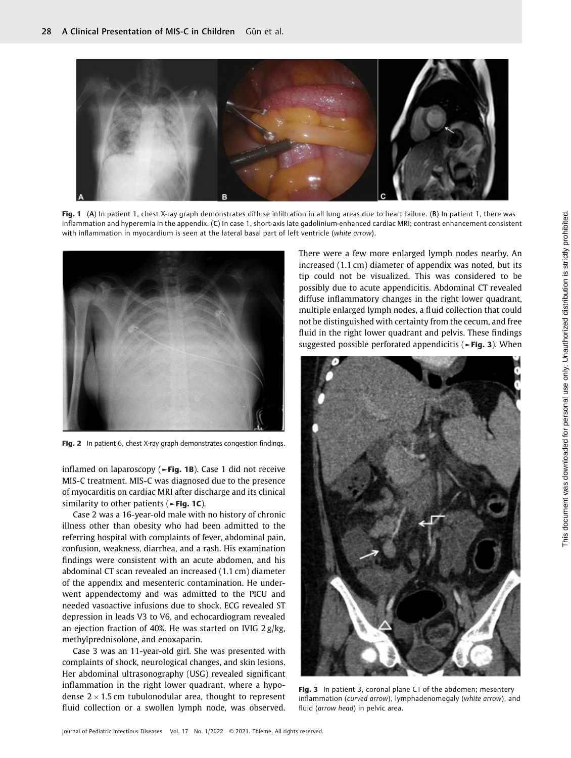

Fig. 1 (A) In patient 1, chest X-ray graph demonstrates diffuse infiltration in all lung areas due to heart failure. (B) In patient 1, there was inflammation and hyperemia in the appendix. (C) In case 1, short-axis late gadolinium-enhanced cardiac MRI; contrast enhancement consistent with inflammation in myocardium is seen at the lateral basal part of left ventricle (white arrow).



Fig. 2 In patient 6, chest X-ray graph demonstrates congestion findings.

inflamed on laparoscopy ( $\blacktriangleright$ Fig. 1B). Case 1 did not receive MIS-C treatment. MIS-C was diagnosed due to the presence of myocarditis on cardiac MRI after discharge and its clinical similarity to other patients ( $\blacktriangleright$ Fig. 1C).

Case 2 was a 16-year-old male with no history of chronic illness other than obesity who had been admitted to the referring hospital with complaints of fever, abdominal pain, confusion, weakness, diarrhea, and a rash. His examination findings were consistent with an acute abdomen, and his abdominal CT scan revealed an increased (1.1 cm) diameter of the appendix and mesenteric contamination. He underwent appendectomy and was admitted to the PICU and needed vasoactive infusions due to shock. ECG revealed ST depression in leads V3 to V6, and echocardiogram revealed an ejection fraction of 40%. He was started on IVIG 2 g/kg, methylprednisolone, and enoxaparin.

Case 3 was an 11-year-old girl. She was presented with complaints of shock, neurological changes, and skin lesions. Her abdominal ultrasonography (USG) revealed significant inflammation in the right lower quadrant, where a hypodense 2  $\times$  1.5 cm tubulonodular area, thought to represent fluid collection or a swollen lymph node, was observed.

There were a few more enlarged lymph nodes nearby. An increased (1.1 cm) diameter of appendix was noted, but its tip could not be visualized. This was considered to be possibly due to acute appendicitis. Abdominal CT revealed diffuse inflammatory changes in the right lower quadrant, multiple enlarged lymph nodes, a fluid collection that could not be distinguished with certainty from the cecum, and free fluid in the right lower quadrant and pelvis. These findings suggested possible perforated appendicitis (►Fig. 3). When



Fig. 3 In patient 3, coronal plane CT of the abdomen; mesentery inflammation (curved arrow), lymphadenomegaly (white arrow), and fluid (arrow head) in pelvic area.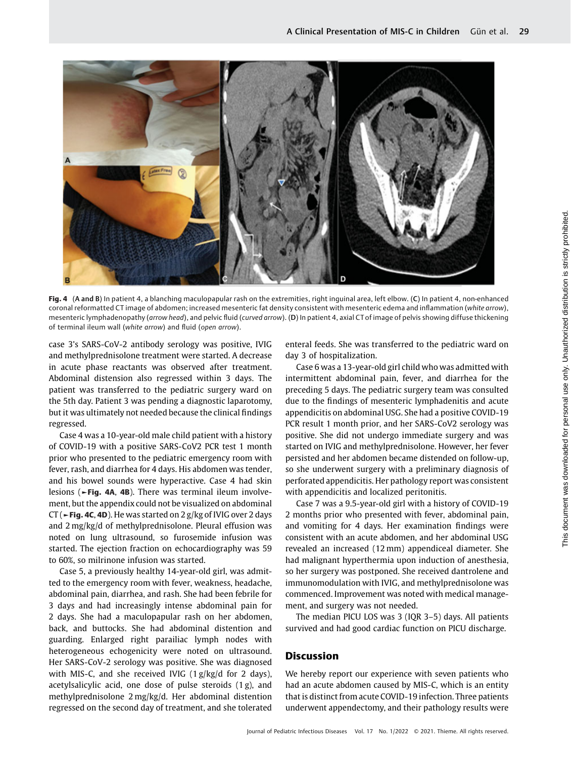

Fig. 4 (A and B) In patient 4, a blanching maculopapular rash on the extremities, right inguinal area, left elbow. (C) In patient 4, non-enhanced coronal reformatted CT image of abdomen; increased mesenteric fat density consistent with mesenteric edema and inflammation (white arrow), mesenteric lymphadenopathy (arrow head), and pelvic fluid (curved arrow). (D) In patient 4, axial CT of image of pelvis showing diffuse thickening of terminal ileum wall (white arrow) and fluid (open arrow).

case 3's SARS-CoV-2 antibody serology was positive, IVIG and methylprednisolone treatment were started. A decrease in acute phase reactants was observed after treatment. Abdominal distension also regressed within 3 days. The patient was transferred to the pediatric surgery ward on the 5th day. Patient 3 was pending a diagnostic laparotomy, but it was ultimately not needed because the clinical findings regressed.

Case 4 was a 10-year-old male child patient with a history of COVID-19 with a positive SARS-CoV2 PCR test 1 month prior who presented to the pediatric emergency room with fever, rash, and diarrhea for 4 days. His abdomen was tender, and his bowel sounds were hyperactive. Case 4 had skin lesions (►Fig. 4A, 4B). There was terminal ileum involvement, but the appendix could not be visualized on abdominal CT ( $\sim$  Fig. 4C, 4D). He was started on 2 g/kg of IVIG over 2 days and 2 mg/kg/d of methylprednisolone. Pleural effusion was noted on lung ultrasound, so furosemide infusion was started. The ejection fraction on echocardiography was 59 to 60%, so milrinone infusion was started.

Case 5, a previously healthy 14-year-old girl, was admitted to the emergency room with fever, weakness, headache, abdominal pain, diarrhea, and rash. She had been febrile for 3 days and had increasingly intense abdominal pain for 2 days. She had a maculopapular rash on her abdomen, back, and buttocks. She had abdominal distention and guarding. Enlarged right parailiac lymph nodes with heterogeneous echogenicity were noted on ultrasound. Her SARS-CoV-2 serology was positive. She was diagnosed with MIS-C, and she received IVIG (1 g/kg/d for 2 days), acetylsalicylic acid, one dose of pulse steroids (1 g), and methylprednisolone 2 mg/kg/d. Her abdominal distention regressed on the second day of treatment, and she tolerated enteral feeds. She was transferred to the pediatric ward on day 3 of hospitalization.

Case 6 was a 13-year-old girl child who was admitted with intermittent abdominal pain, fever, and diarrhea for the preceding 5 days. The pediatric surgery team was consulted due to the findings of mesenteric lymphadenitis and acute appendicitis on abdominal USG. She had a positive COVID-19 PCR result 1 month prior, and her SARS-CoV2 serology was positive. She did not undergo immediate surgery and was started on IVIG and methylprednisolone. However, her fever persisted and her abdomen became distended on follow-up, so she underwent surgery with a preliminary diagnosis of perforated appendicitis. Her pathology report was consistent with appendicitis and localized peritonitis.

Case 7 was a 9.5-year-old girl with a history of COVID-19 2 months prior who presented with fever, abdominal pain, and vomiting for 4 days. Her examination findings were consistent with an acute abdomen, and her abdominal USG revealed an increased (12 mm) appendiceal diameter. She had malignant hyperthermia upon induction of anesthesia, so her surgery was postponed. She received dantrolene and immunomodulation with IVIG, and methylprednisolone was commenced. Improvement was noted with medical management, and surgery was not needed.

The median PICU LOS was 3 (IQR 3–5) days. All patients survived and had good cardiac function on PICU discharge.

#### Discussion

We hereby report our experience with seven patients who had an acute abdomen caused by MIS-C, which is an entity that is distinct from acute COVID-19 infection. Three patients underwent appendectomy, and their pathology results were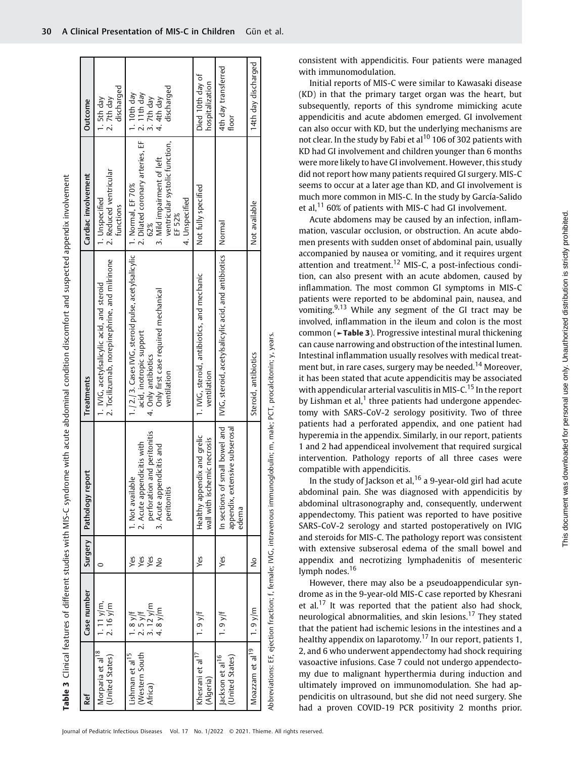|                                                          |                                               |                                    |                                                                                                                            | Table 3 Clinical features of different studies with MIS-C syndrome with acute abdominal condition discomfort and suspected appendix involvement             |                                                                                                                                                          |                                                                       |
|----------------------------------------------------------|-----------------------------------------------|------------------------------------|----------------------------------------------------------------------------------------------------------------------------|-------------------------------------------------------------------------------------------------------------------------------------------------------------|----------------------------------------------------------------------------------------------------------------------------------------------------------|-----------------------------------------------------------------------|
| Ref                                                      | Case number                                   | Surgery                            | Pathology report                                                                                                           | <b>Treatments</b>                                                                                                                                           | Cardiac involvement                                                                                                                                      | Outcome                                                               |
| Morparia et al <sup>18</sup><br>(United States)          | 1. 11 y/m,<br>$2.16$ y/m                      | $\circ$                            |                                                                                                                            | 2. Tocilizumab, norepinephrine, and milrinone<br>1. IVIG, acetylsalicylic acid, and steroid                                                                 | 2. Reduced ventricular<br>1. Unspecified<br>functions                                                                                                    | discharged<br>2.7th day<br>1. 5th day                                 |
| (Western South<br>Lishman et al <sup>15</sup><br>Africa) | 3.12 $y/m$<br>4.8 $y/m$<br>$2.5y$ f<br>1.8y/t | Yes<br>yes<br>Yes<br>$\frac{1}{2}$ | and peritonitis<br>2. Acute appendicitis with<br>3. Acute appendicitis and<br>1. Not availab<br>perforation<br>peritonitis | 1./2./3. Cases IVIG, steroid pulse, acetylsalicylic<br>Only first case required mechanical<br>acid, inotropic support<br>4. Only antibiotics<br>ventilation | ventricular systolic function,<br>2. Dilated coronary arteries, EF<br>3. Mild impairment of left<br>1. Normal, EF 70%<br>4. Unspecified<br>EF 52%<br>62% | discharged<br>$2.11th day$<br>$3.7th day$<br>$.10th$ day<br>4.4th day |
| Khesrani et al <sup>1/</sup><br>(Algeria)                | $1.9y$ <sup>[f</sup>                          | Yes                                | Healthy appendix and grelic<br>wall with ischemic necrosis                                                                 | 1. IVIG, steroid, antibiotics, and mechanic<br>ventilation                                                                                                  | Not fully specified                                                                                                                                      | Died 10th day of<br>hospitalization                                   |
| (United States)<br>ackson et al <sup>16</sup>            | $1.9y$ <sup>[f</sup>                          | Yes                                | In sections of small bowel and<br>appendix, extensive subserosal<br>edema                                                  | IVIG, steroid, acetylsalicylic acid, and antibiotics                                                                                                        | Normal                                                                                                                                                   | 4th day transferred<br>floor                                          |
| Moazzam et al <sup>19</sup>                              | $1.9$ y/m                                     | $\frac{1}{2}$                      |                                                                                                                            | Steroid, antibiotics                                                                                                                                        | Not available                                                                                                                                            | 14th day discharged                                                   |
|                                                          |                                               |                                    |                                                                                                                            |                                                                                                                                                             |                                                                                                                                                          |                                                                       |

Abbreviations: EF, ejection fraction; f, female; IVIG, intravenous immunoglobulin; m, male; PCT, procalcitonin; y, years. Abbreviations: EF, ejection fraction; f, female; IVIG, intravenous immunoglobulin; m, male; PCT, procalcitonin; y, years.

consistent with appendicitis. Four patients were managed with immunomodulation.

Initial reports of MIS-C were similar to Kawasaki disease (KD) in that the primary target organ was the heart, but subsequently, reports of this syndrome mimicking acute appendicitis and acute abdomen emerged. GI involvement can also occur with KD, but the underlying mechanisms are not clear. In the study by Fabi et al<sup>10</sup> 106 of 302 patients with KD had GI involvement and children younger than 6 months were more likely to have GI involvement. However, this study did not report how many patients required GI surgery. MIS-C seems to occur at a later age than KD, and GI involvement is much more common in MIS-C. In the study by García-Salido et al, $^{11}$  60% of patients with MIS-C had GI involvement.

Acute abdomens may be caused by an infection, inflammation, vascular occlusion, or obstruction. An acute abdomen presents with sudden onset of abdominal pain, usually accompanied by nausea or vomiting, and it requires urgent attention and treatment.<sup>12</sup> MIS-C, a post-infectious condition, can also present with an acute abdomen, caused by inflammation. The most common GI symptoms in MIS-C patients were reported to be abdominal pain, nausea, and vomiting. $9,13$  While any segment of the GI tract may be involved, inflammation in the ileum and colon is the most common (►Table 3). Progressive intestinal mural thickening can cause narrowing and obstruction of the intestinal lumen. Intestinal inflammation usually resolves with medical treatment but, in rare cases, surgery may be needed.<sup>14</sup> Moreover, it has been stated that acute appendicitis may be associated with appendicular arterial vasculitis in MIS-C.<sup>15</sup> In the report by Lishman et al, $<sup>1</sup>$  three patients had undergone appendec-</sup> tomy with SARS-CoV-2 serology positivity. Two of three patients had a perforated appendix, and one patient had hyperemia in the appendix. Similarly, in our report, patients 1 and 2 had appendiceal involvement that required surgical intervention. Pathology reports of all three cases were compatible with appendicitis.

In the study of Jackson et al,  $16$  a 9-year-old girl had acute abdominal pain. She was diagnosed with appendicitis by abdominal ultrasonography and, consequently, underwent appendectomy. This patient was reported to have positive SARS-CoV-2 serology and started postoperatively on IVIG and steroids for MIS-C. The pathology report was consistent with extensive subserosal edema of the small bowel and appendix and necrotizing lymphadenitis of mesenteric lymph nodes.<sup>16</sup>

However, there may also be a pseudoappendicular syndrome as in the 9-year-old MIS-C case reported by Khesrani et al.<sup>17</sup> It was reported that the patient also had shock, neurological abnormalities, and skin lesions.<sup>17</sup> They stated that the patient had ischemic lesions in the intestines and a healthy appendix on laparotomy.<sup>17</sup> In our report, patients 1. 2, and 6 who underwent appendectomy had shock requiring vasoactive infusions. Case 7 could not undergo appendectomy due to malignant hyperthermia during induction and ultimately improved on immunomodulation. She had appendicitis on ultrasound, but she did not need surgery. She had a proven COVID-19 PCR positivity 2 months prior.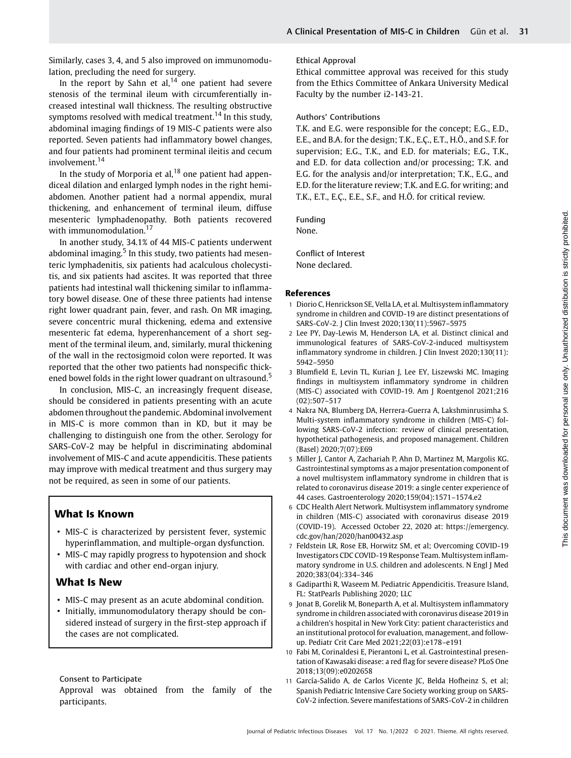Similarly, cases 3, 4, and 5 also improved on immunomodulation, precluding the need for surgery.

In the report by Sahn et al,<sup>14</sup> one patient had severe stenosis of the terminal ileum with circumferentially increased intestinal wall thickness. The resulting obstructive symptoms resolved with medical treatment.<sup>14</sup> In this study, abdominal imaging findings of 19 MIS-C patients were also reported. Seven patients had inflammatory bowel changes, and four patients had prominent terminal ileitis and cecum involvement.<sup>14</sup>

In the study of Morporia et al,  $18$  one patient had appendiceal dilation and enlarged lymph nodes in the right hemiabdomen. Another patient had a normal appendix, mural thickening, and enhancement of terminal ileum, diffuse mesenteric lymphadenopathy. Both patients recovered with immunomodulation.<sup>17</sup>

In another study, 34.1% of 44 MIS-C patients underwent abdominal imaging.<sup>5</sup> In this study, two patients had mesenteric lymphadenitis, six patients had acalculous cholecystitis, and six patients had ascites. It was reported that three patients had intestinal wall thickening similar to inflammatory bowel disease. One of these three patients had intense right lower quadrant pain, fever, and rash. On MR imaging, severe concentric mural thickening, edema and extensive mesenteric fat edema, hyperenhancement of a short segment of the terminal ileum, and, similarly, mural thickening of the wall in the rectosigmoid colon were reported. It was reported that the other two patients had nonspecific thickened bowel folds in the right lower quadrant on ultrasound.<sup>5</sup>

In conclusion, MIS-C, an increasingly frequent disease, should be considered in patients presenting with an acute abdomen throughout the pandemic. Abdominal involvement in MIS-C is more common than in KD, but it may be challenging to distinguish one from the other. Serology for SARS-CoV-2 may be helpful in discriminating abdominal involvement of MIS-C and acute appendicitis. These patients may improve with medical treatment and thus surgery may not be required, as seen in some of our patients.

### What Is Known

- MIS-C is characterized by persistent fever, systemic hyperinflammation, and multiple-organ dysfunction.
- MIS-C may rapidly progress to hypotension and shock with cardiac and other end-organ injury.

### What Is New

- MIS-C may present as an acute abdominal condition.
- Initially, immunomodulatory therapy should be considered instead of surgery in the first-step approach if the cases are not complicated.

#### Consent to Participate

Approval was obtained from the family of the participants.

#### Ethical Approval

Ethical committee approval was received for this study from the Ethics Committee of Ankara University Medical Faculty by the number i2-143-21.

#### Authors' Contributions

T.K. and E.G. were responsible for the concept; E.G., E.D., E.E., and B.A. for the design; T.K., E.Ç., E.T., H.Ö., and S.F. for supervision; E.G., T.K., and E.D. for materials; E.G., T.K., and E.D. for data collection and/or processing; T.K. and E.G. for the analysis and/or interpretation; T.K., E.G., and E.D. for the literature review; T.K. and E.G. for writing; and T.K., E.T., E.Ç., E.E., S.F., and H.Ö. for critical review.

#### Funding

None.

Conflict of Interest None declared.

#### References

- 1 Diorio C, Henrickson SE, Vella LA, et al. Multisystem inflammatory syndrome in children and COVID-19 are distinct presentations of SARS-CoV-2. J Clin Invest 2020;130(11):5967–5975
- 2 Lee PY, Day-Lewis M, Henderson LA, et al. Distinct clinical and immunological features of SARS-CoV-2-induced multisystem inflammatory syndrome in children. J Clin Invest 2020;130(11): 5942–5950
- 3 Blumfield E, Levin TL, Kurian J, Lee EY, Liszewski MC. Imaging findings in multisystem inflammatory syndrome in children (MIS-C) associated with COVID-19. Am J Roentgenol 2021;216 (02):507–517
- 4 Nakra NA, Blumberg DA, Herrera-Guerra A, Lakshminrusimha S. Multi-system inflammatory syndrome in children (MIS-C) following SARS-CoV-2 infection: review of clinical presentation, hypothetical pathogenesis, and proposed management. Children (Basel) 2020;7(07):E69
- 5 Miller J, Cantor A, Zachariah P, Ahn D, Martinez M, Margolis KG. Gastrointestinal symptoms as a major presentation component of a novel multisystem inflammatory syndrome in children that is related to coronavirus disease 2019: a single center experience of 44 cases. Gastroenterology 2020;159(04):1571–1574.e2
- 6 CDC Health Alert Network. Multisystem inflammatory syndrome in children (MIS-C) associated with coronavirus disease 2019 (COVID-19). Accessed October 22, 2020 at: [https://emergency.](https://emergency.cdc.gov/han/2020/han00432.asp) [cdc.gov/han/2020/han00432.asp](https://emergency.cdc.gov/han/2020/han00432.asp)
- 7 Feldstein LR, Rose EB, Horwitz SM, et al; Overcoming COVID-19 Investigators CDC COVID-19 Response Team. Multisystem inflammatory syndrome in U.S. children and adolescents. N Engl J Med 2020;383(04):334–346
- 8 Gadiparthi R, Waseem M. Pediatric Appendicitis. Treasure Island, FL: StatPearls Publishing 2020; LLC
- 9 Jonat B, Gorelik M, Boneparth A, et al. Multisystem inflammatory syndrome in children associated with coronavirus disease 2019 in a children's hospital in New York City: patient characteristics and an institutional protocol for evaluation, management, and followup. Pediatr Crit Care Med 2021;22(03):e178–e191
- 10 Fabi M, Corinaldesi E, Pierantoni L, et al. Gastrointestinal presentation of Kawasaki disease: a red flag for severe disease? PLoS One 2018;13(09):e0202658
- 11 García-Salido A, de Carlos Vicente JC, Belda Hofheinz S, et al; Spanish Pediatric Intensive Care Society working group on SARS-CoV-2 infection. Severe manifestations of SARS-CoV-2 in children